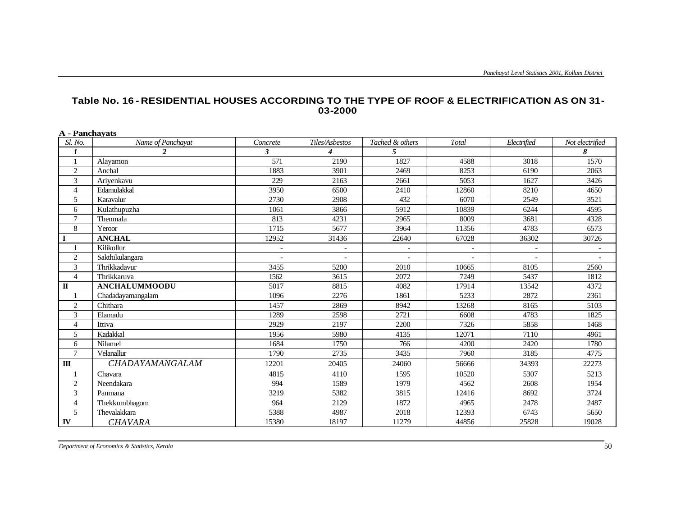| <b>A</b> - Panchavats  |                      |              |                          |                          |       |                |                 |
|------------------------|----------------------|--------------|--------------------------|--------------------------|-------|----------------|-----------------|
| Sl. No.                | Name of Panchayat    | Concrete     | Tiles/Asbestos           | Tached & others          | Total | Electrified    | Not electrified |
| $\boldsymbol{l}$       | $\overline{2}$       | $\mathbf{3}$ | $\boldsymbol{4}$         | 5                        |       |                | 8               |
|                        | Alayamon             | 571          | 2190                     | 1827                     | 4588  | 3018           | 1570            |
| $\overline{c}$         | Anchal               | 1883         | 3901                     | 2469                     | 8253  | 6190           | 2063            |
| 3                      | Ariyenkavu           | 229          | 2163                     | 2661                     | 5053  | 1627           | 3426            |
| $\overline{4}$         | Edamulakkal          | 3950         | 6500                     | 2410                     | 12860 | 8210           | 4650            |
| 5                      | Karavalur            | 2730         | 2908                     | 432                      | 6070  | 2549           | 3521            |
| 6                      | Kulathupuzha         | 1061         | 3866                     | 5912                     | 10839 | 6244           | 4595            |
| $\overline{7}$         | Thenmala             | 813          | 4231                     | 2965                     | 8009  | 3681           | 4328            |
| 8                      | Yeroor               | 1715         | 5677                     | 3964                     | 11356 | 4783           | 6573            |
| I                      | <b>ANCHAL</b>        | 12952        | 31436                    | 22640                    | 67028 | 36302          | 30726           |
|                        | Kilikollur           |              | $\overline{\phantom{a}}$ | $\overline{\phantom{a}}$ |       | $\blacksquare$ |                 |
| $\overline{2}$         | Sakthikulangara      |              | $\overline{\phantom{a}}$ | $\overline{a}$           |       |                |                 |
| 3                      | Thrikkadavur         | 3455         | 5200                     | 2010                     | 10665 | 8105           | 2560            |
| $\overline{4}$         | Thrikkaruva          | 1562         | 3615                     | 2072                     | 7249  | 5437           | 1812            |
| $\mathbf{I}$           | <b>ANCHALUMMOODU</b> | 5017         | 8815                     | 4082                     | 17914 | 13542          | 4372            |
|                        | Chadadayamangalam    | 1096         | 2276                     | 1861                     | 5233  | 2872           | 2361            |
| $\overline{2}$         | Chithara             | 1457         | 2869                     | 8942                     | 13268 | 8165           | 5103            |
| 3                      | Elamadu              | 1289         | 2598                     | 2721                     | 6608  | 4783           | 1825            |
| $\overline{4}$         | Ittiva               | 2929         | 2197                     | 2200                     | 7326  | 5858           | 1468            |
| 5                      | Kadakkal             | 1956         | 5980                     | 4135                     | 12071 | 7110           | 4961            |
| 6                      | Nilamel              | 1684         | 1750                     | 766                      | 4200  | 2420           | 1780            |
| $\overline{7}$         | Velanallur           | 1790         | 2735                     | 3435                     | 7960  | 3185           | 4775            |
| $\mathbf{I}\mathbf{I}$ | CHADAYAMANGALAM      | 12201        | 20405                    | 24060                    | 56666 | 34393          | 22273           |
|                        | Chavara              | 4815         | 4110                     | 1595                     | 10520 | 5307           | 5213            |
| $\overline{2}$         | Neendakara           | 994          | 1589                     | 1979                     | 4562  | 2608           | 1954            |
| 3                      | Panmana              | 3219         | 5382                     | 3815                     | 12416 | 8692           | 3724            |
| $\overline{4}$         | Thekkumbhagom        | 964          | 2129                     | 1872                     | 4965  | 2478           | 2487            |
| 5                      | Thevalakkara         | 5388         | 4987                     | 2018                     | 12393 | 6743           | 5650            |
| IV                     | <b>CHAVARA</b>       | 15380        | 18197                    | 11279                    | 44856 | 25828          | 19028           |

## **Table No. 16 - RESIDENTIAL HOUSES ACCORDING TO THE TYPE OF ROOF & ELECTRIFICATION AS ON 31- 03-2000**

*Department of Economics & Statistics, Kerala* 50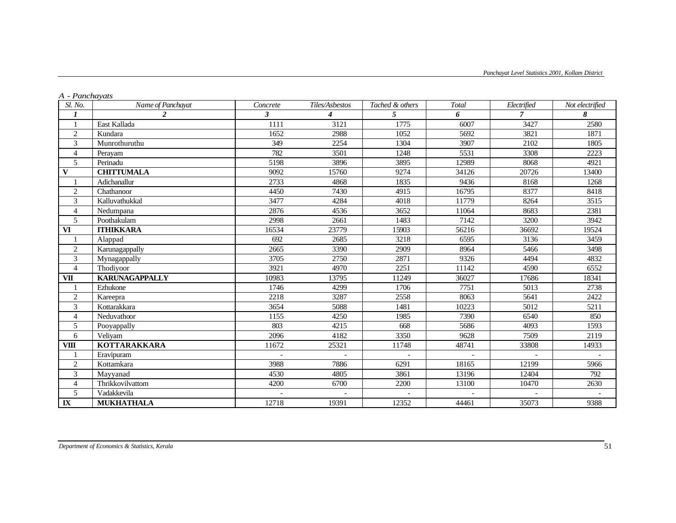| Sl. No.                | Name of Panchayat     | Concrete     | Tiles/Asbestos   | Tached & others | Total | Electrified | Not electrified |
|------------------------|-----------------------|--------------|------------------|-----------------|-------|-------------|-----------------|
| 1                      | $\overline{2}$        | $\mathbf{3}$ | $\boldsymbol{4}$ | 5               | 6     | 7           | 8               |
| 1                      | East Kallada          | 1111         | 3121             | 1775            | 6007  | 3427        | 2580            |
| $\overline{2}$         | Kundara               | 1652         | 2988             | 1052            | 5692  | 3821        | 1871            |
| 3                      | Munrothuruthu         | 349          | 2254             | 1304            | 3907  | 2102        | 1805            |
| $\overline{4}$         | Perayam               | 782          | 3501             | 1248            | 5531  | 3308        | 2223            |
| 5                      | Perinadu              | 5198         | 3896             | 3895            | 12989 | 8068        | 4921            |
| $\mathbf{V}$           | <b>CHITTUMALA</b>     | 9092         | 15760            | 9274            | 34126 | 20726       | 13400           |
| 1                      | Adichanallur          | 2733         | 4868             | 1835            | 9436  | 8168        | 1268            |
| $\overline{2}$         | Chathanoor            | 4450         | 7430             | 4915            | 16795 | 8377        | 8418            |
| 3                      | Kalluvathukkal        | 3477         | 4284             | 4018            | 11779 | 8264        | 3515            |
| $\overline{4}$         | Nedumpana             | 2876         | 4536             | 3652            | 11064 | 8683        | 2381            |
| 5                      | Poothakulam           | 2998         | 2661             | 1483            | 7142  | 3200        | 3942            |
| $\mathbf{V}\mathbf{I}$ | <b>ITHIKKARA</b>      | 16534        | 23779            | 15903           | 56216 | 36692       | 19524           |
| 1                      | Alappad               | 692          | 2685             | 3218            | 6595  | 3136        | 3459            |
| $\overline{2}$         | Karunagappally        | 2665         | 3390             | 2909            | 8964  | 5466        | 3498            |
| 3                      | Mynagappally          | 3705         | 2750             | 2871            | 9326  | 4494        | 4832            |
| $\overline{4}$         | Thodiyoor             | 3921         | 4970             | 2251            | 11142 | 4590        | 6552            |
| VII                    | <b>KARUNAGAPPALLY</b> | 10983        | 13795            | 11249           | 36027 | 17686       | 18341           |
| 1                      | Ezhukone              | 1746         | 4299             | 1706            | 7751  | 5013        | 2738            |
| $\overline{c}$         | Kareepra              | 2218         | 3287             | 2558            | 8063  | 5641        | 2422            |
| 3                      | Kottarakkara          | 3654         | 5088             | 1481            | 10223 | 5012        | 5211            |
| $\overline{4}$         | Neduvathoor           | 1155         | 4250             | 1985            | 7390  | 6540        | 850             |
| 5                      | Pooyappally           | 803          | 4215             | 668             | 5686  | 4093        | 1593            |
| 6                      | Veliyam               | 2096         | 4182             | 3350            | 9628  | 7509        | 2119            |
| <b>VIII</b>            | <b>KOTTARAKKARA</b>   | 11672        | 25321            | 11748           | 48741 | 33808       | 14933           |
| 1                      | Eravipuram            |              |                  |                 |       |             |                 |
| 2                      | Kottamkara            | 3988         | 7886             | 6291            | 18165 | 12199       | 5966            |
| 3                      | Mayyanad              | 4530         | 4805             | 3861            | 13196 | 12404       | 792             |
| $\overline{4}$         | Thrikkovilvattom      | 4200         | 6700             | 2200            | 13100 | 10470       | 2630            |
| 5                      | Vadakkevila           |              |                  |                 |       |             |                 |
| $\mathbf{I}$           | <b>MUKHATHALA</b>     | 12718        | 19391            | 12352           | 44461 | 35073       | 9388            |

## *A - Panchayats*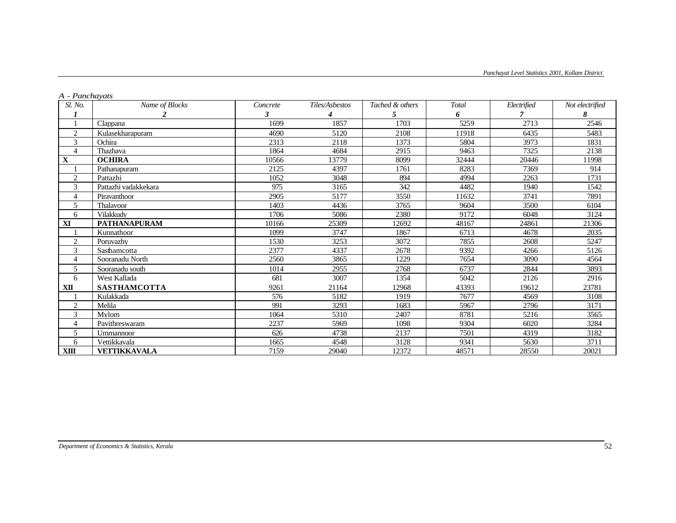| A - I anchavais<br><i>Sl. No.</i> | Name of Blocks       | Concrete | Tiles/Asbestos | Tached & others | Total | Electrified | Not electrified |
|-----------------------------------|----------------------|----------|----------------|-----------------|-------|-------------|-----------------|
|                                   |                      |          |                |                 | 6     |             | 8               |
| 1                                 | Clappana             | 1699     | 1857           | 1703            | 5259  | 2713        | 2546            |
| $\overline{c}$                    | Kulasekharapuram     | 4690     | 5120           | 2108            | 11918 | 6435        | 5483            |
| 3                                 | Ochira               | 2313     | 2118           | 1373            | 5804  | 3973        | 1831            |
| $\overline{4}$                    | Thazhava             | 1864     | 4684           | 2915            | 9463  | 7325        | 2138            |
| $\mathbf X$                       | <b>OCHIRA</b>        | 10566    | 13779          | 8099            | 32444 | 20446       | 11998           |
|                                   | Pathanapuram         | 2125     | 4397           | 1761            | 8283  | 7369        | 914             |
| 2                                 | Pattazhi             | 1052     | 3048           | 894             | 4994  | 2263        | 1731            |
| 3                                 | Pattazhi vadakkekara | 975      | 3165           | 342             | 4482  | 1940        | 1542            |
| $\overline{4}$                    | Piravanthoor         | 2905     | 5177           | 3550            | 11632 | 3741        | 7891            |
| 5                                 | Thalavoor            | 1403     | 4436           | 3765            | 9604  | 3500        | 6104            |
| 6                                 | Vilakkudv            | 1706     | 5086           | 2380            | 9172  | 6048        | 3124            |
| ${\bf X}$                         | <b>PATHANAPURAM</b>  | 10166    | 25309          | 12692           | 48167 | 24861       | 21306           |
|                                   | Kunnathoor           | 1099     | 3747           | 1867            | 6713  | 4678        | 2035            |
| $\mathfrak{2}$                    | Poruvazhv            | 1530     | 3253           | 3072            | 7855  | 2608        | 5247            |
| 3                                 | Sasthamcotta         | 2377     | 4337           | 2678            | 9392  | 4266        | 5126            |
| 4                                 | Sooranadu North      | 2560     | 3865           | 1229            | 7654  | 3090        | 4564            |
| 5                                 | Sooranadu south      | 1014     | 2955           | 2768            | 6737  | 2844        | 3893            |
| 6                                 | West Kallada         | 681      | 3007           | 1354            | 5042  | 2126        | 2916            |
| XП                                | <b>SASTHAMCOTTA</b>  | 9261     | 21164          | 12968           | 43393 | 19612       | 23781           |
|                                   | Kulakkada            | 576      | 5182           | 1919            | 7677  | 4569        | 3108            |
| $\overline{c}$                    | Melila               | 991      | 3293           | 1683            | 5967  | 2796        | 3171            |
| 3                                 | Mylom                | 1064     | 5310           | 2407            | 8781  | 5216        | 3565            |
| $\overline{4}$                    | Pavithreswaram       | 2237     | 5969           | 1098            | 9304  | 6020        | 3284            |
| 5                                 | Ummannoor            | 626      | 4738           | 2137            | 7501  | 4319        | 3182            |
| 6                                 | Vettikkavala         | 1665     | 4548           | 3128            | 9341  | 5630        | 3711            |
| <b>XIII</b>                       | VETTIKKAVALA         | 7159     | 29040          | 12372           | 48571 | 28550       | 20021           |

## *A - Panchayats*